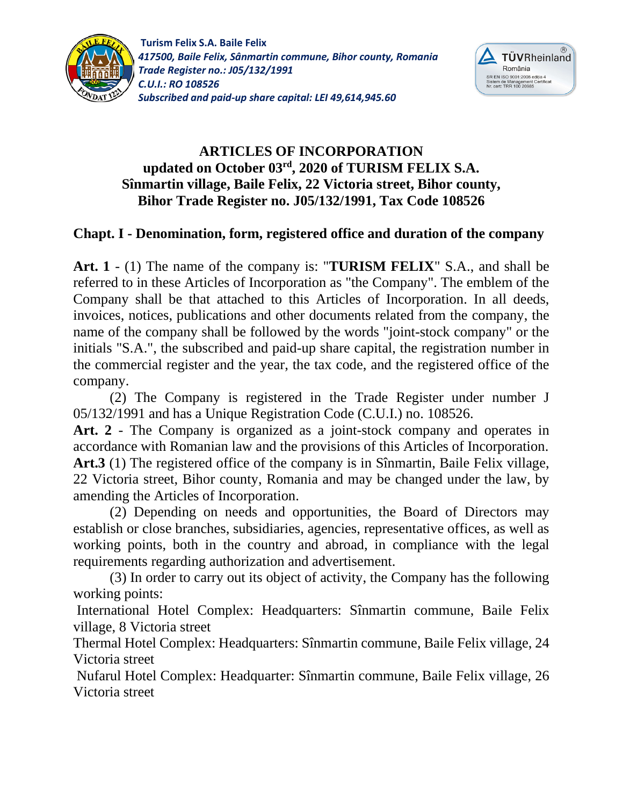

**Turism Felix S.A. Baile Felix** *417500, Baile Felix, Sânmartin commune, Bihor county, Romania Trade Register no.: J05/132/1991 C.U.I.: RO 108526 Subscribed and paid-up share capital: LEI 49,614,945.60*



#### **ARTICLES OF INCORPORATION updated on October 03rd , 2020 of TURISM FELIX S.A. Sînmartin village, Baile Felix, 22 Victoria street, Bihor county, Bihor Trade Register no. J05/132/1991, Tax Code 108526**

## **Chapt. I - Denomination, form, registered office and duration of the company**

**Art. 1** - (1) The name of the company is: "**TURISM FELIX**" S.A., and shall be referred to in these Articles of Incorporation as "the Company". The emblem of the Company shall be that attached to this Articles of Incorporation. In all deeds, invoices, notices, publications and other documents related from the company, the name of the company shall be followed by the words "joint-stock company" or the initials "S.A.", the subscribed and paid-up share capital, the registration number in the commercial register and the year, the tax code, and the registered office of the company.

(2) The Company is registered in the Trade Register under number J 05/132/1991 and has a Unique Registration Code (C.U.I.) no. 108526.

Art. 2 - The Company is organized as a joint-stock company and operates in accordance with Romanian law and the provisions of this Articles of Incorporation. **Art.3** (1) The registered office of the company is in Sînmartin, Baile Felix village, 22 Victoria street, Bihor county, Romania and may be changed under the law, by amending the Articles of Incorporation.

(2) Depending on needs and opportunities, the Board of Directors may establish or close branches, subsidiaries, agencies, representative offices, as well as working points, both in the country and abroad, in compliance with the legal requirements regarding authorization and advertisement.

(3) In order to carry out its object of activity, the Company has the following working points:

International Hotel Complex: Headquarters: Sînmartin commune, Baile Felix village, 8 Victoria street

Thermal Hotel Complex: Headquarters: Sînmartin commune, Baile Felix village, 24 Victoria street

Nufarul Hotel Complex: Headquarter: Sînmartin commune, Baile Felix village, 26 Victoria street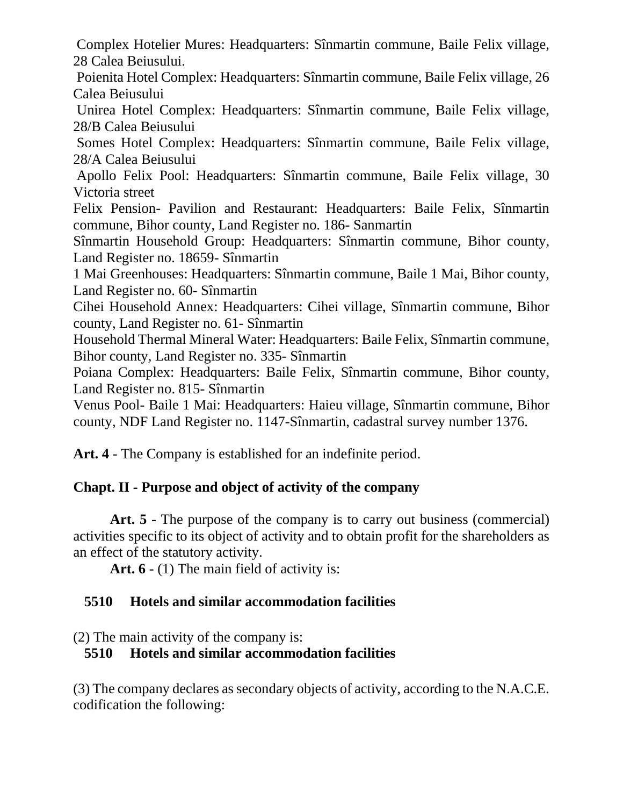Complex Hotelier Mures: Headquarters: Sînmartin commune, Baile Felix village, 28 Calea Beiusului.

Poienita Hotel Complex: Headquarters: Sînmartin commune, Baile Felix village, 26 Calea Beiusului

Unirea Hotel Complex: Headquarters: Sînmartin commune, Baile Felix village, 28/B Calea Beiusului

Somes Hotel Complex: Headquarters: Sînmartin commune, Baile Felix village, 28/A Calea Beiusului

Apollo Felix Pool: Headquarters: Sînmartin commune, Baile Felix village, 30 Victoria street

Felix Pension- Pavilion and Restaurant: Headquarters: Baile Felix, Sînmartin commune, Bihor county, Land Register no. 186- Sanmartin

Sînmartin Household Group: Headquarters: Sînmartin commune, Bihor county, Land Register no. 18659- Sînmartin

1 Mai Greenhouses: Headquarters: Sînmartin commune, Baile 1 Mai, Bihor county, Land Register no. 60- Sînmartin

Cihei Household Annex: Headquarters: Cihei village, Sînmartin commune, Bihor county, Land Register no. 61- Sînmartin

Household Thermal Mineral Water: Headquarters: Baile Felix, Sînmartin commune, Bihor county, Land Register no. 335- Sînmartin

Poiana Complex: Headquarters: Baile Felix, Sînmartin commune, Bihor county, Land Register no. 815- Sînmartin

Venus Pool- Baile 1 Mai: Headquarters: Haieu village, Sînmartin commune, Bihor county, NDF Land Register no. 1147-Sînmartin, cadastral survey number 1376.

**Art. 4** - The Company is established for an indefinite period.

## **Chapt. II - Purpose and object of activity of the company**

Art. 5 - The purpose of the company is to carry out business (commercial) activities specific to its object of activity and to obtain profit for the shareholders as an effect of the statutory activity.

**Art. 6** - (1) The main field of activity is:

# **5510 Hotels and similar accommodation facilities**

(2) The main activity of the company is:

## **5510 Hotels and similar accommodation facilities**

(3) The company declares as secondary objects of activity, according to the N.A.C.E. codification the following: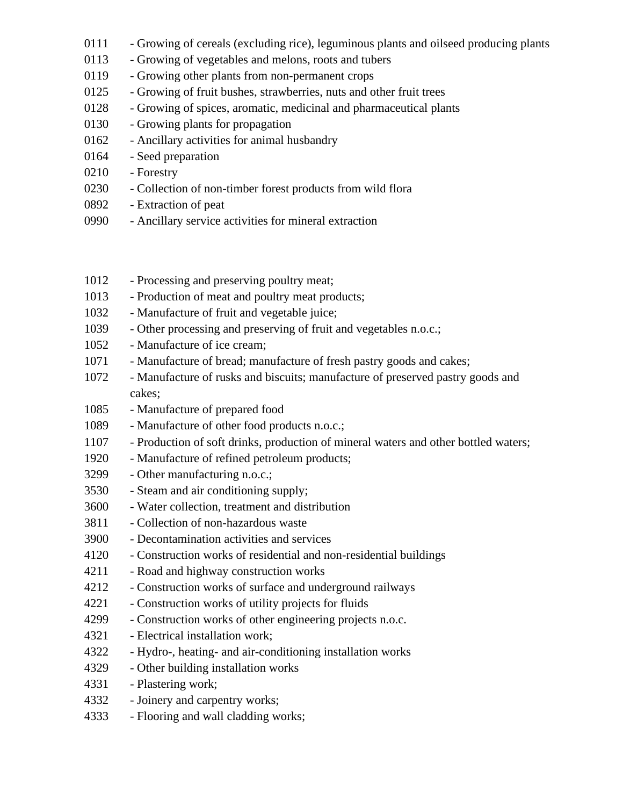- 0111 - Growing of cereals (excluding rice), leguminous plants and oilseed producing plants
- 0113 - Growing of vegetables and melons, roots and tubers
- 0119 - Growing other plants from non-permanent crops
- 0125 - Growing of fruit bushes, strawberries, nuts and other fruit trees
- 0128 - Growing of spices, aromatic, medicinal and pharmaceutical plants
- 0130 - Growing plants for propagation
- 0162 - Ancillary activities for animal husbandry
- 0164 - Seed preparation
- 0210 - Forestry
- 0230 - Collection of non-timber forest products from wild flora
- 0892 - Extraction of peat
- 0990 - Ancillary service activities for mineral extraction
- 1012 Processing and preserving poultry meat;
- 1013 Production of meat and poultry meat products;
- 1032 Manufacture of fruit and vegetable juice;
- 1039 Other processing and preserving of fruit and vegetables n.o.c.;
- 1052 Manufacture of ice cream;
- 1071 Manufacture of bread; manufacture of fresh pastry goods and cakes;
- 1072 - Manufacture of rusks and biscuits; manufacture of preserved pastry goods and cakes;
- 1085 - Manufacture of prepared food
- 1089 Manufacture of other food products n.o.c.;
- 1107 - Production of soft drinks, production of mineral waters and other bottled waters;
- 1920 - Manufacture of refined petroleum products;
- 3299 - Other manufacturing n.o.c.;
- 3530 - Steam and air conditioning supply;
- 3600 - Water collection, treatment and distribution
- 3811 - Collection of non-hazardous waste
- 3900 - Decontamination activities and services
- 4120 - Construction works of residential and non-residential buildings
- 4211 - Road and highway construction works
- 4212 - Construction works of surface and underground railways
- 4221 - Construction works of utility projects for fluids
- 4299 - Construction works of other engineering projects n.o.c.
- 4321 - Electrical installation work;
- 4322 - Hydro-, heating- and air-conditioning installation works
- 4329 - Other building installation works
- 4331 Plastering work;
- 4332 Joinery and carpentry works;
- 4333 Flooring and wall cladding works;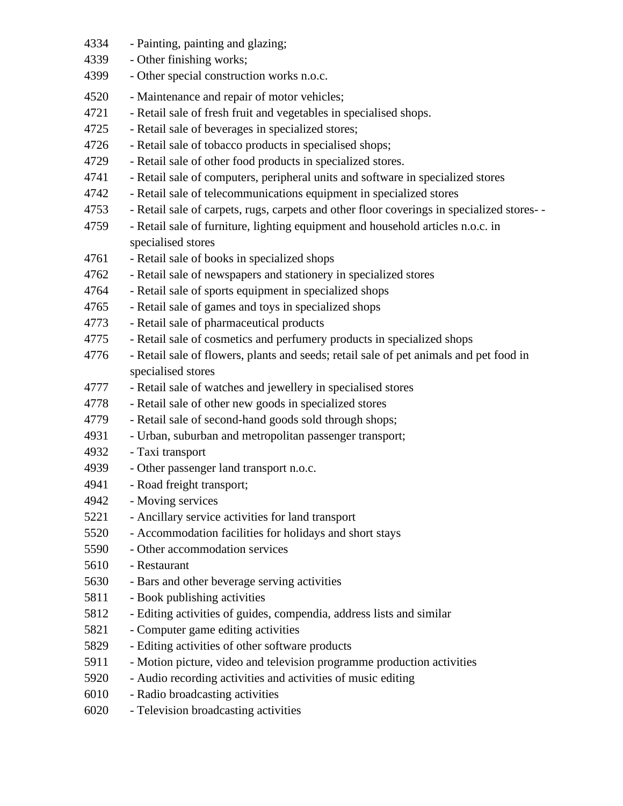| 4334 | - Painting, painting and glazing;                                                         |
|------|-------------------------------------------------------------------------------------------|
| 4339 | - Other finishing works;                                                                  |
| 4399 | - Other special construction works n.o.c.                                                 |
| 4520 | - Maintenance and repair of motor vehicles;                                               |
| 4721 | - Retail sale of fresh fruit and vegetables in specialised shops.                         |
| 4725 | - Retail sale of beverages in specialized stores;                                         |
| 4726 | - Retail sale of tobacco products in specialised shops;                                   |
| 4729 | - Retail sale of other food products in specialized stores.                               |
| 4741 | - Retail sale of computers, peripheral units and software in specialized stores           |
| 4742 | - Retail sale of telecommunications equipment in specialized stores                       |
| 4753 | - Retail sale of carpets, rugs, carpets and other floor coverings in specialized stores-- |
| 4759 | - Retail sale of furniture, lighting equipment and household articles n.o.c. in           |
|      | specialised stores                                                                        |
| 4761 | - Retail sale of books in specialized shops                                               |
| 4762 | - Retail sale of newspapers and stationery in specialized stores                          |
| 4764 | - Retail sale of sports equipment in specialized shops                                    |
| 4765 | - Retail sale of games and toys in specialized shops                                      |
| 4773 | - Retail sale of pharmaceutical products                                                  |
| 4775 | - Retail sale of cosmetics and perfumery products in specialized shops                    |
| 4776 | - Retail sale of flowers, plants and seeds; retail sale of pet animals and pet food in    |
|      | specialised stores                                                                        |
| 4777 | - Retail sale of watches and jewellery in specialised stores                              |
| 4778 | - Retail sale of other new goods in specialized stores                                    |
| 4779 | - Retail sale of second-hand goods sold through shops;                                    |
| 4931 | - Urban, suburban and metropolitan passenger transport;                                   |
| 4932 | - Taxi transport                                                                          |
| 4939 | - Other passenger land transport n.o.c.                                                   |
| 4941 | - Road freight transport;                                                                 |
| 4942 | - Moving services                                                                         |
| 5221 | - Ancillary service activities for land transport                                         |
| 5520 | - Accommodation facilities for holidays and short stays                                   |
| 5590 | - Other accommodation services                                                            |
| 5610 | - Restaurant                                                                              |
| 5630 | - Bars and other beverage serving activities                                              |
| 5811 | - Book publishing activities                                                              |
| 5812 | - Editing activities of guides, compendia, address lists and similar                      |
| 5821 | - Computer game editing activities                                                        |
| 5829 | - Editing activities of other software products                                           |
| 5911 | - Motion picture, video and television programme production activities                    |
| 5920 | - Audio recording activities and activities of music editing                              |
| 6010 | - Radio broadcasting activities                                                           |
| 6020 | - Television broadcasting activities                                                      |
|      |                                                                                           |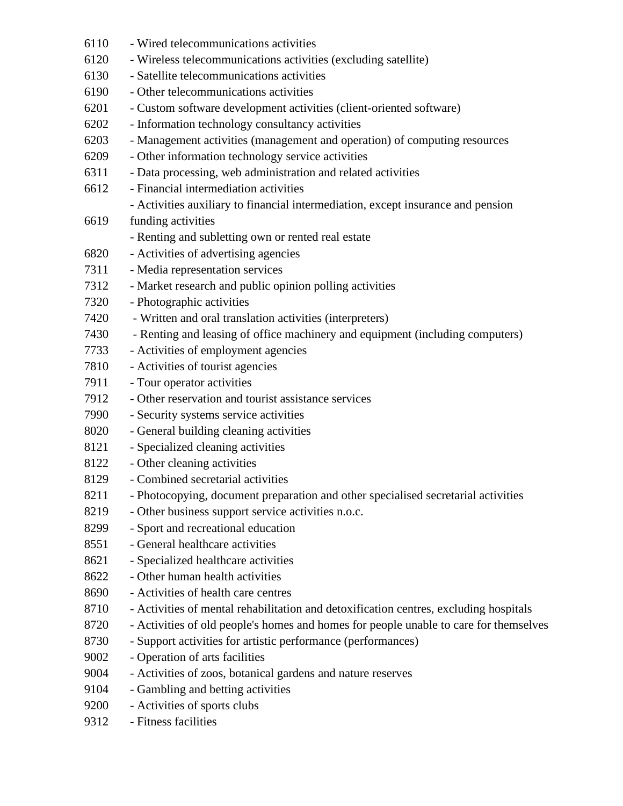| 6110 | - Wired telecommunications activities                                                 |
|------|---------------------------------------------------------------------------------------|
| 6120 | - Wireless telecommunications activities (excluding satellite)                        |
| 6130 | - Satellite telecommunications activities                                             |
| 6190 | - Other telecommunications activities                                                 |
| 6201 | - Custom software development activities (client-oriented software)                   |
| 6202 | - Information technology consultancy activities                                       |
| 6203 | - Management activities (management and operation) of computing resources             |
| 6209 | - Other information technology service activities                                     |
| 6311 | - Data processing, web administration and related activities                          |
| 6612 | - Financial intermediation activities                                                 |
|      | - Activities auxiliary to financial intermediation, except insurance and pension      |
| 6619 | funding activities                                                                    |
|      | - Renting and subletting own or rented real estate                                    |
| 6820 | - Activities of advertising agencies                                                  |
| 7311 | - Media representation services                                                       |
| 7312 | - Market research and public opinion polling activities                               |
| 7320 | - Photographic activities                                                             |
| 7420 | - Written and oral translation activities (interpreters)                              |
| 7430 | - Renting and leasing of office machinery and equipment (including computers)         |
| 7733 | - Activities of employment agencies                                                   |
| 7810 | - Activities of tourist agencies                                                      |
| 7911 | - Tour operator activities                                                            |
| 7912 | - Other reservation and tourist assistance services                                   |
| 7990 | - Security systems service activities                                                 |
| 8020 | - General building cleaning activities                                                |
| 8121 | - Specialized cleaning activities                                                     |
| 8122 | - Other cleaning activities                                                           |
| 8129 | - Combined secretarial activities                                                     |
| 8211 | - Photocopying, document preparation and other specialised secretarial activities     |
| 8219 | - Other business support service activities n.o.c.                                    |
| 8299 | - Sport and recreational education                                                    |
| 8551 | - General healthcare activities                                                       |
| 8621 | - Specialized healthcare activities                                                   |
| 8622 | - Other human health activities                                                       |
| 8690 | - Activities of health care centres                                                   |
| 8710 | - Activities of mental rehabilitation and detoxification centres, excluding hospitals |
| 8720 | - Activities of old people's homes and homes for people unable to care for themselves |
| 8730 | - Support activities for artistic performance (performances)                          |
| 9002 | - Operation of arts facilities                                                        |
| 9004 | - Activities of zoos, botanical gardens and nature reserves                           |
| 9104 | - Gambling and betting activities                                                     |
| 9200 | - Activities of sports clubs                                                          |
| 9312 | - Fitness facilities                                                                  |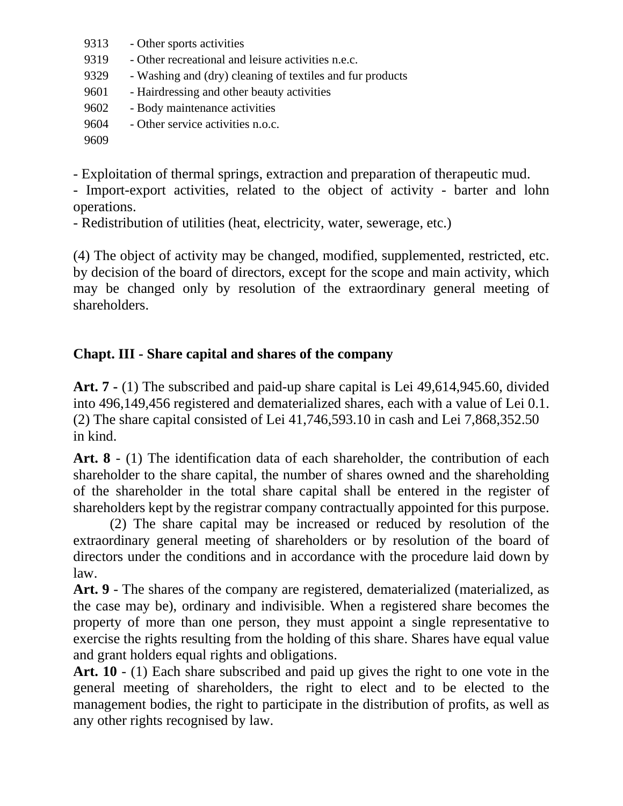| 9313 | - Other sports activities                                 |
|------|-----------------------------------------------------------|
| 9319 | - Other recreational and leisure activities n.e.c.        |
| 9329 | - Washing and (dry) cleaning of textiles and fur products |
| 9601 | - Hairdressing and other beauty activities                |
| 9602 | - Body maintenance activities                             |
| 9604 | - Other service activities n.o.c.                         |
| 9609 |                                                           |

- Exploitation of thermal springs, extraction and preparation of therapeutic mud.

- Import-export activities, related to the object of activity - barter and lohn operations.

- Redistribution of utilities (heat, electricity, water, sewerage, etc.)

(4) The object of activity may be changed, modified, supplemented, restricted, etc. by decision of the board of directors, except for the scope and main activity, which may be changed only by resolution of the extraordinary general meeting of shareholders.

## **Chapt. III - Share capital and shares of the company**

**Art. 7 -** (1) The subscribed and paid-up share capital is Lei 49,614,945.60, divided into 496,149,456 registered and dematerialized shares, each with a value of Lei 0.1. (2) The share capital consisted of Lei 41,746,593.10 in cash and Lei 7,868,352.50 in kind.

**Art. 8** - (1) The identification data of each shareholder, the contribution of each shareholder to the share capital, the number of shares owned and the shareholding of the shareholder in the total share capital shall be entered in the register of shareholders kept by the registrar company contractually appointed for this purpose.

(2) The share capital may be increased or reduced by resolution of the extraordinary general meeting of shareholders or by resolution of the board of directors under the conditions and in accordance with the procedure laid down by law.

Art. 9 - The shares of the company are registered, dematerialized (materialized, as the case may be), ordinary and indivisible. When a registered share becomes the property of more than one person, they must appoint a single representative to exercise the rights resulting from the holding of this share. Shares have equal value and grant holders equal rights and obligations.

**Art. 10** - (1) Each share subscribed and paid up gives the right to one vote in the general meeting of shareholders, the right to elect and to be elected to the management bodies, the right to participate in the distribution of profits, as well as any other rights recognised by law.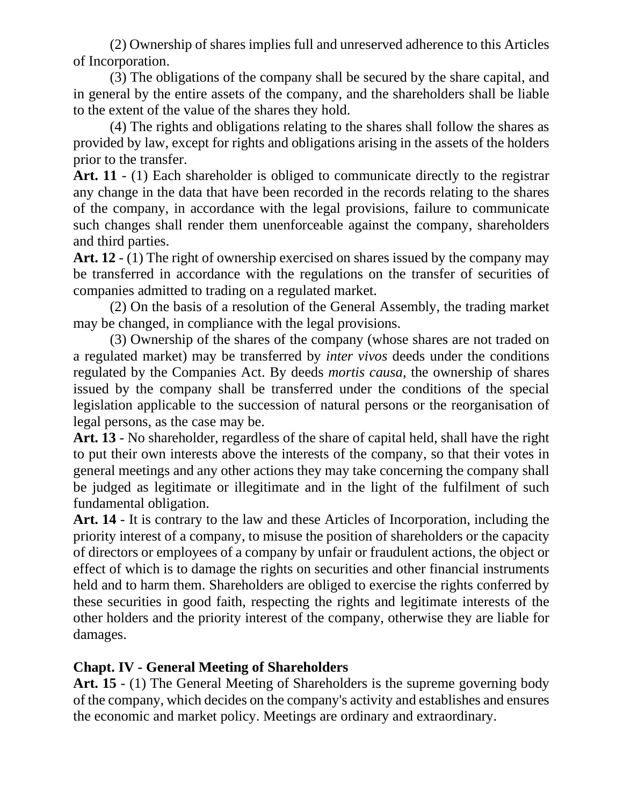(2) Ownership of shares implies full and unreserved adherence to this Articles of Incorporation.

(3) The obligations of the company shall be secured by the share capital, and in general by the entire assets of the company, and the shareholders shall be liable to the extent of the value of the shares they hold.

(4) The rights and obligations relating to the shares shall follow the shares as provided by law, except for rights and obligations arising in the assets of the holders prior to the transfer.

**Art. 11** - (1) Each shareholder is obliged to communicate directly to the registrar any change in the data that have been recorded in the records relating to the shares of the company, in accordance with the legal provisions, failure to communicate such changes shall render them unenforceable against the company, shareholders and third parties.

**Art. 12** - (1) The right of ownership exercised on shares issued by the company may be transferred in accordance with the regulations on the transfer of securities of companies admitted to trading on a regulated market.

(2) On the basis of a resolution of the General Assembly, the trading market may be changed, in compliance with the legal provisions.

(3) Ownership of the shares of the company (whose shares are not traded on a regulated market) may be transferred by *inter vivos* deeds under the conditions regulated by the Companies Act. By deeds *mortis causa*, the ownership of shares issued by the company shall be transferred under the conditions of the special legislation applicable to the succession of natural persons or the reorganisation of legal persons, as the case may be.

**Art. 13** - No shareholder, regardless of the share of capital held, shall have the right to put their own interests above the interests of the company, so that their votes in general meetings and any other actions they may take concerning the company shall be judged as legitimate or illegitimate and in the light of the fulfilment of such fundamental obligation.

**Art. 14** - It is contrary to the law and these Articles of Incorporation, including the priority interest of a company, to misuse the position of shareholders or the capacity of directors or employees of a company by unfair or fraudulent actions, the object or effect of which is to damage the rights on securities and other financial instruments held and to harm them. Shareholders are obliged to exercise the rights conferred by these securities in good faith, respecting the rights and legitimate interests of the other holders and the priority interest of the company, otherwise they are liable for damages.

# **Chapt. IV - General Meeting of Shareholders**

**Art. 15** - (1) The General Meeting of Shareholders is the supreme governing body of the company, which decides on the company's activity and establishes and ensures the economic and market policy. Meetings are ordinary and extraordinary.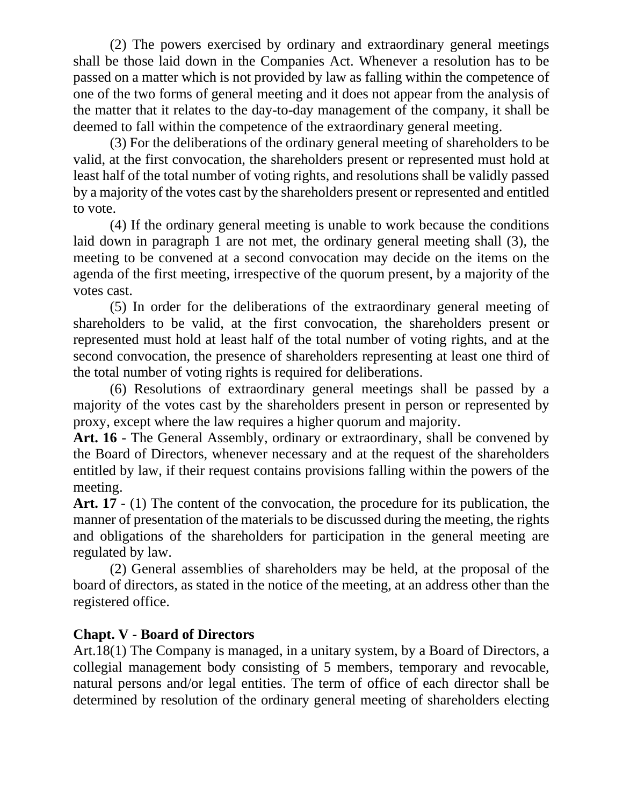(2) The powers exercised by ordinary and extraordinary general meetings shall be those laid down in the Companies Act. Whenever a resolution has to be passed on a matter which is not provided by law as falling within the competence of one of the two forms of general meeting and it does not appear from the analysis of the matter that it relates to the day-to-day management of the company, it shall be deemed to fall within the competence of the extraordinary general meeting.

(3) For the deliberations of the ordinary general meeting of shareholders to be valid, at the first convocation, the shareholders present or represented must hold at least half of the total number of voting rights, and resolutions shall be validly passed by a majority of the votes cast by the shareholders present or represented and entitled to vote.

(4) If the ordinary general meeting is unable to work because the conditions laid down in paragraph 1 are not met, the ordinary general meeting shall (3), the meeting to be convened at a second convocation may decide on the items on the agenda of the first meeting, irrespective of the quorum present, by a majority of the votes cast.

(5) In order for the deliberations of the extraordinary general meeting of shareholders to be valid, at the first convocation, the shareholders present or represented must hold at least half of the total number of voting rights, and at the second convocation, the presence of shareholders representing at least one third of the total number of voting rights is required for deliberations.

(6) Resolutions of extraordinary general meetings shall be passed by a majority of the votes cast by the shareholders present in person or represented by proxy, except where the law requires a higher quorum and majority.

**Art. 16** - The General Assembly, ordinary or extraordinary, shall be convened by the Board of Directors, whenever necessary and at the request of the shareholders entitled by law, if their request contains provisions falling within the powers of the meeting.

**Art. 17** - (1) The content of the convocation, the procedure for its publication, the manner of presentation of the materials to be discussed during the meeting, the rights and obligations of the shareholders for participation in the general meeting are regulated by law.

(2) General assemblies of shareholders may be held, at the proposal of the board of directors, as stated in the notice of the meeting, at an address other than the registered office.

## **Chapt. V - Board of Directors**

Art.18(1) The Company is managed, in a unitary system, by a Board of Directors, a collegial management body consisting of 5 members, temporary and revocable, natural persons and/or legal entities. The term of office of each director shall be determined by resolution of the ordinary general meeting of shareholders electing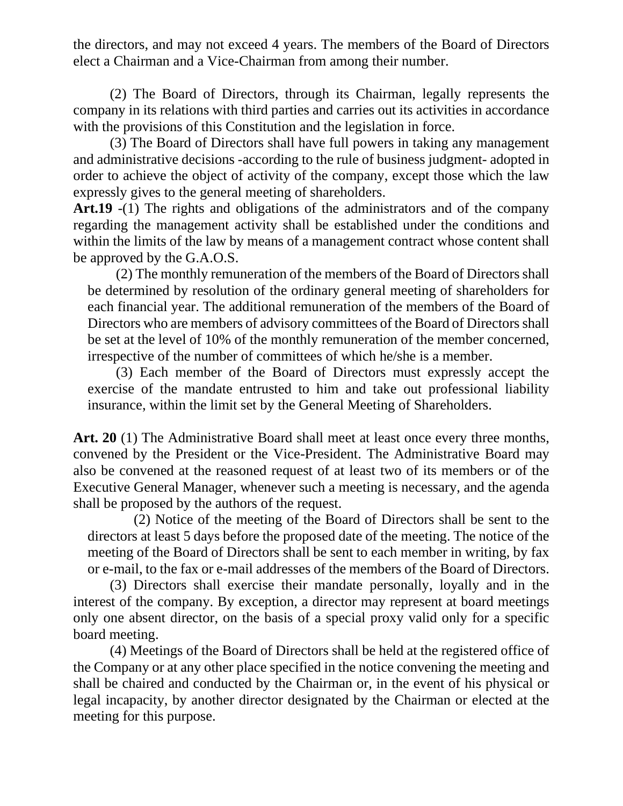the directors, and may not exceed 4 years. The members of the Board of Directors elect a Chairman and a Vice-Chairman from among their number.

(2) The Board of Directors, through its Chairman, legally represents the company in its relations with third parties and carries out its activities in accordance with the provisions of this Constitution and the legislation in force.

(3) The Board of Directors shall have full powers in taking any management and administrative decisions -according to the rule of business judgment- adopted in order to achieve the object of activity of the company, except those which the law expressly gives to the general meeting of shareholders.

**Art.19** -(1) The rights and obligations of the administrators and of the company regarding the management activity shall be established under the conditions and within the limits of the law by means of a management contract whose content shall be approved by the G.A.O.S.

 (2) The monthly remuneration of the members of the Board of Directors shall be determined by resolution of the ordinary general meeting of shareholders for each financial year. The additional remuneration of the members of the Board of Directors who are members of advisory committees of the Board of Directors shall be set at the level of 10% of the monthly remuneration of the member concerned, irrespective of the number of committees of which he/she is a member.

 (3) Each member of the Board of Directors must expressly accept the exercise of the mandate entrusted to him and take out professional liability insurance, within the limit set by the General Meeting of Shareholders.

**Art. 20** (1) The Administrative Board shall meet at least once every three months, convened by the President or the Vice-President. The Administrative Board may also be convened at the reasoned request of at least two of its members or of the Executive General Manager, whenever such a meeting is necessary, and the agenda shall be proposed by the authors of the request.

 (2) Notice of the meeting of the Board of Directors shall be sent to the directors at least 5 days before the proposed date of the meeting. The notice of the meeting of the Board of Directors shall be sent to each member in writing, by fax or e-mail, to the fax or e-mail addresses of the members of the Board of Directors.

(3) Directors shall exercise their mandate personally, loyally and in the interest of the company. By exception, a director may represent at board meetings only one absent director, on the basis of a special proxy valid only for a specific board meeting.

(4) Meetings of the Board of Directors shall be held at the registered office of the Company or at any other place specified in the notice convening the meeting and shall be chaired and conducted by the Chairman or, in the event of his physical or legal incapacity, by another director designated by the Chairman or elected at the meeting for this purpose.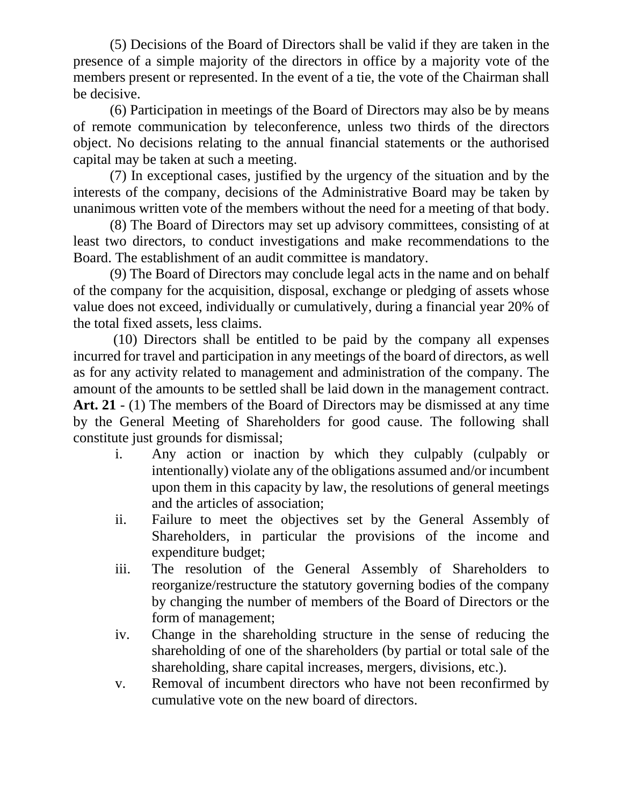(5) Decisions of the Board of Directors shall be valid if they are taken in the presence of a simple majority of the directors in office by a majority vote of the members present or represented. In the event of a tie, the vote of the Chairman shall be decisive.

(6) Participation in meetings of the Board of Directors may also be by means of remote communication by teleconference, unless two thirds of the directors object. No decisions relating to the annual financial statements or the authorised capital may be taken at such a meeting.

(7) In exceptional cases, justified by the urgency of the situation and by the interests of the company, decisions of the Administrative Board may be taken by unanimous written vote of the members without the need for a meeting of that body.

(8) The Board of Directors may set up advisory committees, consisting of at least two directors, to conduct investigations and make recommendations to the Board. The establishment of an audit committee is mandatory.

(9) The Board of Directors may conclude legal acts in the name and on behalf of the company for the acquisition, disposal, exchange or pledging of assets whose value does not exceed, individually or cumulatively, during a financial year 20% of the total fixed assets, less claims.

(10) Directors shall be entitled to be paid by the company all expenses incurred for travel and participation in any meetings of the board of directors, as well as for any activity related to management and administration of the company. The amount of the amounts to be settled shall be laid down in the management contract. **Art. 21** - (1) The members of the Board of Directors may be dismissed at any time by the General Meeting of Shareholders for good cause. The following shall constitute just grounds for dismissal;

- i. Any action or inaction by which they culpably (culpably or intentionally) violate any of the obligations assumed and/or incumbent upon them in this capacity by law, the resolutions of general meetings and the articles of association;
- ii. Failure to meet the objectives set by the General Assembly of Shareholders, in particular the provisions of the income and expenditure budget;
- iii. The resolution of the General Assembly of Shareholders to reorganize/restructure the statutory governing bodies of the company by changing the number of members of the Board of Directors or the form of management;
- iv. Change in the shareholding structure in the sense of reducing the shareholding of one of the shareholders (by partial or total sale of the shareholding, share capital increases, mergers, divisions, etc.).
- v. Removal of incumbent directors who have not been reconfirmed by cumulative vote on the new board of directors.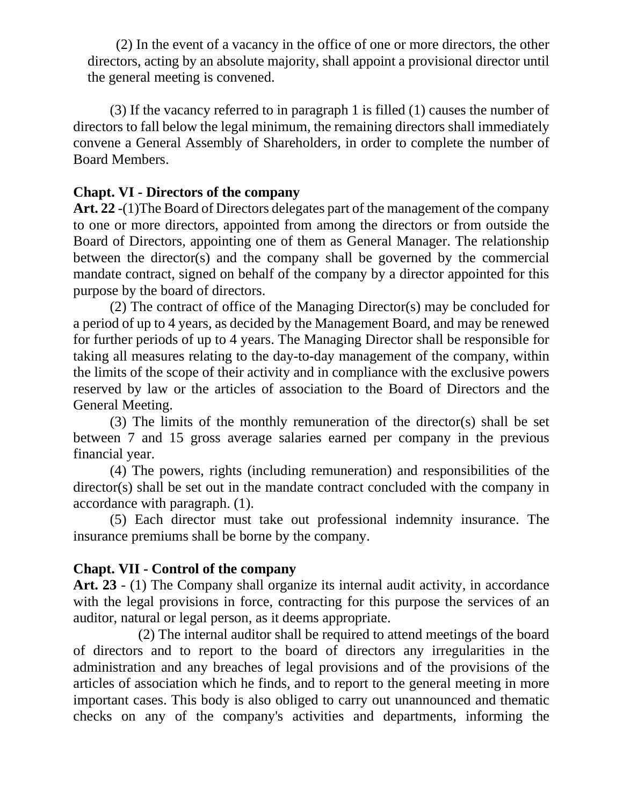(2) In the event of a vacancy in the office of one or more directors, the other directors, acting by an absolute majority, shall appoint a provisional director until the general meeting is convened.

(3) If the vacancy referred to in paragraph 1 is filled (1) causes the number of directors to fall below the legal minimum, the remaining directors shall immediately convene a General Assembly of Shareholders, in order to complete the number of Board Members.

#### **Chapt. VI - Directors of the company**

**Art. 22** -(1)The Board of Directors delegates part of the management of the company to one or more directors, appointed from among the directors or from outside the Board of Directors, appointing one of them as General Manager. The relationship between the director(s) and the company shall be governed by the commercial mandate contract, signed on behalf of the company by a director appointed for this purpose by the board of directors.

(2) The contract of office of the Managing Director(s) may be concluded for a period of up to 4 years, as decided by the Management Board, and may be renewed for further periods of up to 4 years. The Managing Director shall be responsible for taking all measures relating to the day-to-day management of the company, within the limits of the scope of their activity and in compliance with the exclusive powers reserved by law or the articles of association to the Board of Directors and the General Meeting.

(3) The limits of the monthly remuneration of the director(s) shall be set between 7 and 15 gross average salaries earned per company in the previous financial year.

(4) The powers, rights (including remuneration) and responsibilities of the director(s) shall be set out in the mandate contract concluded with the company in accordance with paragraph. (1).

(5) Each director must take out professional indemnity insurance. The insurance premiums shall be borne by the company.

#### **Chapt. VII - Control of the company**

Art. 23 - (1) The Company shall organize its internal audit activity, in accordance with the legal provisions in force, contracting for this purpose the services of an auditor, natural or legal person, as it deems appropriate.

 (2) The internal auditor shall be required to attend meetings of the board of directors and to report to the board of directors any irregularities in the administration and any breaches of legal provisions and of the provisions of the articles of association which he finds, and to report to the general meeting in more important cases. This body is also obliged to carry out unannounced and thematic checks on any of the company's activities and departments, informing the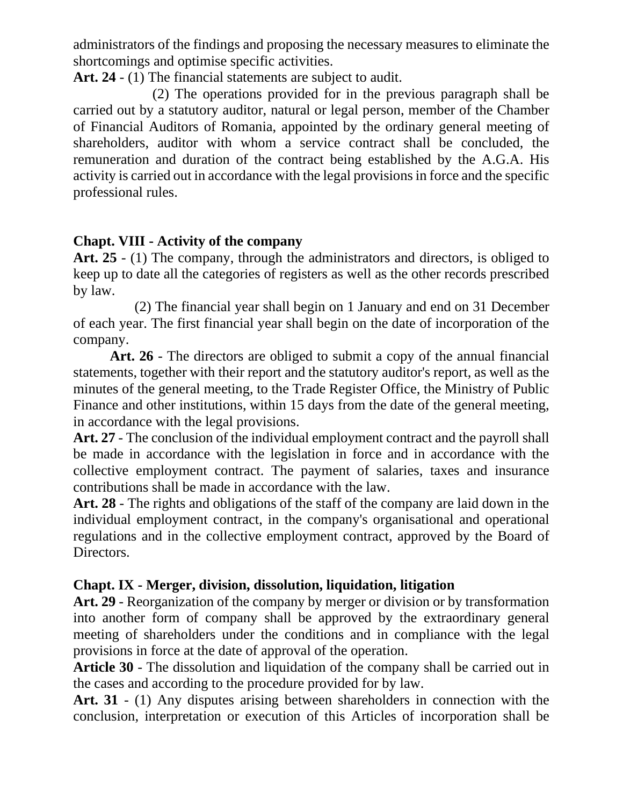administrators of the findings and proposing the necessary measures to eliminate the shortcomings and optimise specific activities.

**Art. 24** - (1) The financial statements are subject to audit.

 (2) The operations provided for in the previous paragraph shall be carried out by a statutory auditor, natural or legal person, member of the Chamber of Financial Auditors of Romania, appointed by the ordinary general meeting of shareholders, auditor with whom a service contract shall be concluded, the remuneration and duration of the contract being established by the A.G.A. His activity is carried out in accordance with the legal provisions in force and the specific professional rules.

## **Chapt. VIII - Activity of the company**

**Art. 25** - (1) The company, through the administrators and directors, is obliged to keep up to date all the categories of registers as well as the other records prescribed by law.

 (2) The financial year shall begin on 1 January and end on 31 December of each year. The first financial year shall begin on the date of incorporation of the company.

**Art. 26** - The directors are obliged to submit a copy of the annual financial statements, together with their report and the statutory auditor's report, as well as the minutes of the general meeting, to the Trade Register Office, the Ministry of Public Finance and other institutions, within 15 days from the date of the general meeting, in accordance with the legal provisions.

**Art. 27** - The conclusion of the individual employment contract and the payroll shall be made in accordance with the legislation in force and in accordance with the collective employment contract. The payment of salaries, taxes and insurance contributions shall be made in accordance with the law.

**Art. 28** - The rights and obligations of the staff of the company are laid down in the individual employment contract, in the company's organisational and operational regulations and in the collective employment contract, approved by the Board of Directors.

# **Chapt. IX - Merger, division, dissolution, liquidation, litigation**

**Art. 29** - Reorganization of the company by merger or division or by transformation into another form of company shall be approved by the extraordinary general meeting of shareholders under the conditions and in compliance with the legal provisions in force at the date of approval of the operation.

**Article 30** - The dissolution and liquidation of the company shall be carried out in the cases and according to the procedure provided for by law.

Art. 31 - (1) Any disputes arising between shareholders in connection with the conclusion, interpretation or execution of this Articles of incorporation shall be